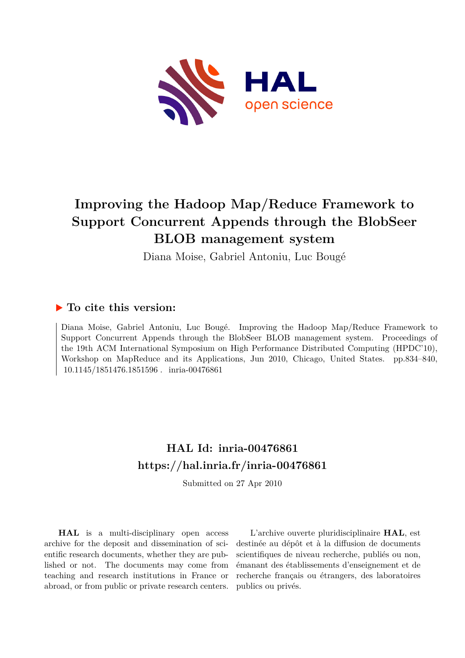

# **Improving the Hadoop Map/Reduce Framework to Support Concurrent Appends through the BlobSeer BLOB management system**

Diana Moise, Gabriel Antoniu, Luc Bougé

## **To cite this version:**

Diana Moise, Gabriel Antoniu, Luc Bougé. Improving the Hadoop Map/Reduce Framework to Support Concurrent Appends through the BlobSeer BLOB management system. Proceedings of the 19th ACM International Symposium on High Performance Distributed Computing (HPDC'10), Workshop on MapReduce and its Applications, Jun 2010, Chicago, United States. pp.834–840, 10.1145/1851476.1851596. inria-00476861

## **HAL Id: inria-00476861 <https://hal.inria.fr/inria-00476861>**

Submitted on 27 Apr 2010

**HAL** is a multi-disciplinary open access archive for the deposit and dissemination of scientific research documents, whether they are published or not. The documents may come from teaching and research institutions in France or abroad, or from public or private research centers.

L'archive ouverte pluridisciplinaire **HAL**, est destinée au dépôt et à la diffusion de documents scientifiques de niveau recherche, publiés ou non, émanant des établissements d'enseignement et de recherche français ou étrangers, des laboratoires publics ou privés.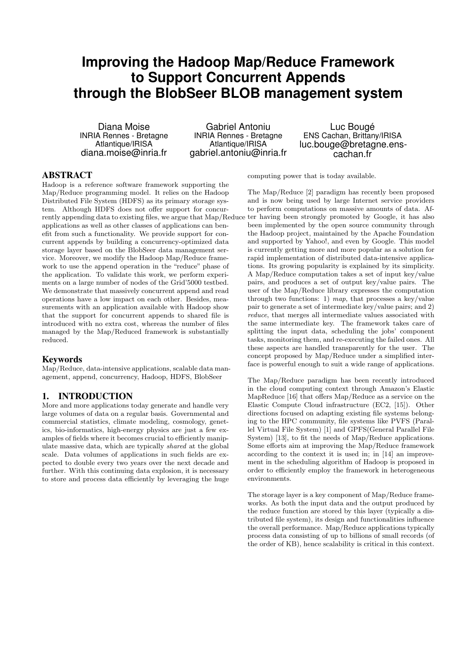## **Improving the Hadoop Map/Reduce Framework to Support Concurrent Appends through the BlobSeer BLOB management system**

Diana Moise INRIA Rennes - Bretagne Atlantique/IRISA diana.moise@inria.fr

Gabriel Antoniu INRIA Rennes - Bretagne Atlantique/IRISA gabriel.antoniu@inria.fr

Luc Bougé ENS Cachan, Brittany/IRISA luc.bouge@bretagne.enscachan.fr

### ABSTRACT

Hadoop is a reference software framework supporting the Map/Reduce programming model. It relies on the Hadoop Distributed File System (HDFS) as its primary storage system. Although HDFS does not offer support for concurrently appending data to existing files, we argue that Map/Reduce ter having been strongly promoted by Google, it has also applications as well as other classes of applications can benefit from such a functionality. We provide support for concurrent appends by building a concurrency-optimized data storage layer based on the BlobSeer data management service. Moreover, we modify the Hadoop Map/Reduce framework to use the append operation in the "reduce" phase of the application. To validate this work, we perform experiments on a large number of nodes of the Grid'5000 testbed. We demonstrate that massively concurrent append and read operations have a low impact on each other. Besides, measurements with an application available with Hadoop show that the support for concurrent appends to shared file is introduced with no extra cost, whereas the number of files managed by the Map/Reduced framework is substantially reduced.

#### Keywords

Map/Reduce, data-intensive applications, scalable data management, append, concurrency, Hadoop, HDFS, BlobSeer

## 1. INTRODUCTION

More and more applications today generate and handle very large volumes of data on a regular basis. Governmental and commercial statistics, climate modeling, cosmology, genetics, bio-informatics, high-energy physics are just a few examples of fields where it becomes crucial to efficiently manipulate massive data, which are typically shared at the global scale. Data volumes of applications in such fields are expected to double every two years over the next decade and further. With this continuing data explosion, it is necessary to store and process data efficiently by leveraging the huge computing power that is today available.

The Map/Reduce [2] paradigm has recently been proposed and is now being used by large Internet service providers to perform computations on massive amounts of data. Afbeen implemented by the open source community through the Hadoop project, maintained by the Apache Foundation and supported by Yahoo!, and even by Google. This model is currently getting more and more popular as a solution for rapid implementation of distributed data-intensive applications. Its growing popularity is explained by its simplicity. A Map/Reduce computation takes a set of input key/value pairs, and produces a set of output key/value pairs. The user of the Map/Reduce library expresses the computation through two functions: 1) map, that processes a key/value pair to generate a set of intermediate key/value pairs; and 2) reduce, that merges all intermediate values associated with the same intermediate key. The framework takes care of splitting the input data, scheduling the jobs' component tasks, monitoring them, and re-executing the failed ones. All these aspects are handled transparently for the user. The concept proposed by Map/Reduce under a simplified interface is powerful enough to suit a wide range of applications.

The Map/Reduce paradigm has been recently introduced in the cloud computing context through Amazon's Elastic MapReduce [16] that offers Map/Reduce as a service on the Elastic Compute Cloud infrastructure (EC2, [15]). Other directions focused on adapting existing file systems belonging to the HPC community, file systems like PVFS (Parallel Virtual File System) [1] and GPFS(General Parallel File System) [13], to fit the needs of Map/Reduce applications. Some efforts aim at improving the Map/Reduce framework according to the context it is used in; in [14] an improvement in the scheduling algorithm of Hadoop is proposed in order to efficiently employ the framework in heterogeneous environments.

The storage layer is a key component of Map/Reduce frameworks. As both the input data and the output produced by the reduce function are stored by this layer (typically a distributed file system), its design and functionalities influence the overall performance. Map/Reduce applications typically process data consisting of up to billions of small records (of the order of KB), hence scalability is critical in this context.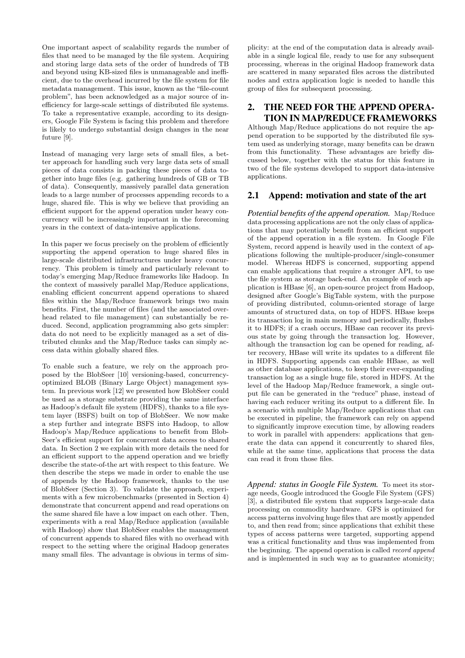One important aspect of scalability regards the number of files that need to be managed by the file system. Acquiring and storing large data sets of the order of hundreds of TB and beyond using KB-sized files is unmanageable and inefficient, due to the overhead incurred by the file system for file metadata management. This issue, known as the "file-count problem", has been acknowledged as a major source of inefficiency for large-scale settings of distributed file systems. To take a representative example, according to its designers, Google File System is facing this problem and therefore is likely to undergo substantial design changes in the near future [9].

Instead of managing very large sets of small files, a better approach for handling such very large data sets of small pieces of data consists in packing these pieces of data together into huge files (e.g. gathering hundreds of GB or TB of data). Consequently, massively parallel data generation leads to a large number of processes appending records to a huge, shared file. This is why we believe that providing an efficient support for the append operation under heavy concurrency will be increasingly important in the forecoming years in the context of data-intensive applications.

In this paper we focus precisely on the problem of efficiently supporting the append operation to huge shared files in large-scale distributed infrastructures under heavy concurrency. This problem is timely and particularly relevant to today's emerging Map/Reduce frameworks like Hadoop. In the context of massively parallel Map/Reduce applications, enabling efficient concurrent append operations to shared files within the Map/Reduce framework brings two main benefits. First, the number of files (and the associated overhead related to file management) can substantially be reduced. Second, application programming also gets simpler: data do not need to be explicitly managed as a set of distributed chunks and the Map/Reduce tasks can simply access data within globally shared files.

To enable such a feature, we rely on the approach proposed by the BlobSeer [10] versioning-based, concurrencyoptimized BLOB (Binary Large Object) management system. In previous work [12] we presented how BlobSeer could be used as a storage substrate providing the same interface as Hadoop's default file system (HDFS), thanks to a file system layer (BSFS) built on top of BlobSeer. We now make a step further and integrate BSFS into Hadoop, to allow Hadoop's Map/Reduce applications to benefit from Blob-Seer's efficient support for concurrent data access to shared data. In Section 2 we explain with more details the need for an efficient support to the append operation and we briefly describe the state-of-the art with respect to this feature. We then describe the steps we made in order to enable the use of appends by the Hadoop framework, thanks to the use of BlobSeer (Section 3). To validate the approach, experiments with a few microbenchmarks (presented in Section 4) demonstrate that concurrent append and read operations on the same shared file have a low impact on each other. Then, experiments with a real Map/Reduce application (available with Hadoop) show that BlobSeer enables the management of concurrent appends to shared files with no overhead with respect to the setting where the original Hadoop generates many small files. The advantage is obvious in terms of sim-

plicity: at the end of the computation data is already available in a single logical file, ready to use for any subsequent processing, whereas in the original Hadoop framework data are scattered in many separated files across the distributed nodes and extra application logic is needed to handle this group of files for subsequent processing.

## 2. THE NEED FOR THE APPEND OPERA-TION IN MAP/REDUCE FRAMEWORKS

Although Map/Reduce applications do not require the append operation to be supported by the distributed file system used as underlying storage, many benefits can be drawn from this functionality. These advantages are briefly discussed below, together with the status for this feature in two of the file systems developed to support data-intensive applications.

## 2.1 Append: motivation and state of the art

*Potential benefits of the append operation.* Map/Reduce data processing applications are not the only class of applications that may potentially benefit from an efficient support of the append operation in a file system. In Google File System, record append is heavily used in the context of applications following the multiple-producer/single-consumer model. Whereas HDFS is concerned, supporting append can enable applications that require a stronger API, to use the file system as storage back-end. An example of such application is HBase [6], an open-source project from Hadoop, designed after Google's BigTable system, with the purpose of providing distributed, column-oriented storage of large amounts of structured data, on top of HDFS. HBase keeps its transaction log in main memory and periodically, flushes it to HDFS; if a crash occurs, HBase can recover its previous state by going through the transaction log. However, although the transaction log can be opened for reading, after recovery, HBase will write its updates to a different file in HDFS. Supporting appends can enable HBase, as well as other database applications, to keep their ever-expanding transaction log as a single huge file, stored in HDFS. At the level of the Hadoop Map/Reduce framework, a single output file can be generated in the "reduce" phase, instead of having each reducer writing its output to a different file. In a scenario with multiple Map/Reduce applications that can be executed in pipeline, the framework can rely on append to significantly improve execution time, by allowing readers to work in parallel with appenders: applications that generate the data can append it concurrently to shared files, while at the same time, applications that process the data can read it from those files.

*Append: status in Google File System.* To meet its storage needs, Google introduced the Google File System (GFS) [3], a distributed file system that supports large-scale data processing on commodity hardware. GFS is optimized for access patterns involving huge files that are mostly appended to, and then read from; since applications that exhibit these types of access patterns were targeted, supporting append was a critical functionality and thus was implemented from the beginning. The append operation is called *record append* and is implemented in such way as to guarantee atomicity;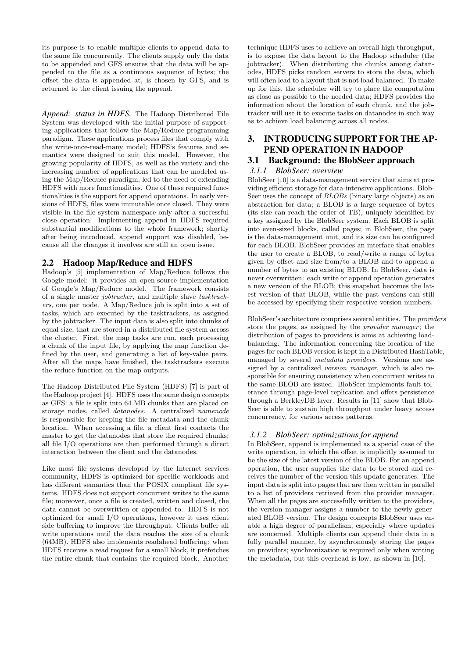its purpose is to enable multiple clients to append data to the same file concurrently. The clients supply only the data to be appended and GFS ensures that the data will be appended to the file as a continuous sequence of bytes; the offset the data is appended at, is chosen by GFS, and is returned to the client issuing the append.

*Append: status in HDFS.* The Hadoop Distributed File System was developed with the initial purpose of supporting applications that follow the Map/Reduce programming paradigm. These applications process files that comply with the write-once-read-many model; HDFS's features and semantics were designed to suit this model. However, the growing popularity of HDFS, as well as the variety and the increasing number of applications that can be modeled using the Map/Reduce paradigm, led to the need of extending HDFS with more functionalities. One of these required functionalities is the support for append operations. In early versions of HDFS, files were immutable once closed. They were visible in the file system namespace only after a successful close operation. Implementing append in HDFS required substantial modifications to the whole framework; shortly after being introduced, append support was disabled, because all the changes it involves are still an open issue.

## 2.2 Hadoop Map/Reduce and HDFS

Hadoop's [5] implementation of Map/Reduce follows the Google model: it provides an open-source implementation of Google's Map/Reduce model. The framework consists of a single master jobtracker, and multiple slave tasktrackers, one per node. A Map/Reduce job is split into a set of tasks, which are executed by the tasktrackers, as assigned by the jobtracker. The input data is also split into chunks of equal size, that are stored in a distributed file system across the cluster. First, the map tasks are run, each processing a chunk of the input file, by applying the map function defined by the user, and generating a list of key-value pairs. After all the maps have finished, the tasktrackers execute the reduce function on the map outputs.

The Hadoop Distributed File System (HDFS) [7] is part of the Hadoop project [4]. HDFS uses the same design concepts as GFS: a file is split into 64 MB chunks that are placed on storage nodes, called datanodes. A centralized namenode is responsible for keeping the file metadata and the chunk location. When accessing a file, a client first contacts the master to get the datanodes that store the required chunks; all file I/O operations are then performed through a direct interaction between the client and the datanodes.

Like most file systems developed by the Internet services community, HDFS is optimized for specific workloads and has different semantics than the POSIX compliant file systems. HDFS does not support concurrent writes to the same file; moreover, once a file is created, written and closed, the data cannot be overwritten or appended to. HDFS is not optimized for small I/O operations, however it uses client side buffering to improve the throughput. Clients buffer all write operations until the data reaches the size of a chunk (64MB). HDFS also implements readahead buffering: when HDFS receives a read request for a small block, it prefetches the entire chunk that contains the required block. Another

technique HDFS uses to achieve an overall high throughput, is to expose the data layout to the Hadoop scheduler (the jobtracker). When distributing the chunks among datanodes, HDFS picks random servers to store the data, which will often lead to a layout that is not load balanced. To make up for this, the scheduler will try to place the computation as close as possible to the needed data; HDFS provides the information about the location of each chunk, and the jobtracker will use it to execute tasks on datanodes in such way as to achieve load balancing across all nodes.

## 3. INTRODUCING SUPPORT FOR THE AP-PEND OPERATION IN HADOOP

## 3.1 Background: the BlobSeer approach

## *3.1.1 BlobSeer: overview*

BlobSeer [10] is a data-management service that aims at providing efficient storage for data-intensive applications. Blob-Seer uses the concept of BLOBs (binary large objects) as an abstraction for data; a BLOB is a large sequence of bytes (its size can reach the order of TB), uniquely identified by a key assigned by the BlobSeer system. Each BLOB is split into even-sized blocks, called pages; in BlobSeer, the page is the data-management unit, and its size can be configured for each BLOB. BlobSeer provides an interface that enables the user to create a BLOB, to read/write a range of bytes given by offset and size from/to a BLOB and to append a number of bytes to an existing BLOB. In BlobSeer, data is never overwritten: each write or append operation generates a new version of the BLOB; this snapshot becomes the latest version of that BLOB, while the past versions can still be accessed by specifying their respective version numbers.

BlobSeer's architecture comprises several entities. The providers store the pages, as assigned by the *provider manager*; the distribution of pages to providers is aims at achieving loadbalancing. The information concerning the location of the pages for each BLOB version is kept in a Distributed HashTable, managed by several metadata providers. Versions are assigned by a centralized version manager, which is also responsible for ensuring consistency when concurrent writes to the same BLOB are issued. BlobSeer implements fault tolerance through page-level replication and offers persistence through a BerkleyDB layer. Results in [11] show that Blob-Seer is able to sustain high throughput under heavy access concurrency, for various access patterns.

## *3.1.2 BlobSeer: optimizations for append*

In BlobSeer, append is implemented as a special case of the write operation, in which the offset is implicitly assumed to be the size of the latest version of the BLOB. For an append operation, the user supplies the data to be stored and receives the number of the version this update generates. The input data is split into pages that are then written in parallel to a list of providers retrieved from the provider manager. When all the pages are successfully written to the providers, the version manager assigns a number to the newly generated BLOB version. The design concepts BlobSeer uses enable a high degree of parallelism, especially where updates are concerned. Multiple clients can append their data in a fully parallel manner, by asynchronously storing the pages on providers; synchronization is required only when writing the metadata, but this overhead is low, as shown in [10].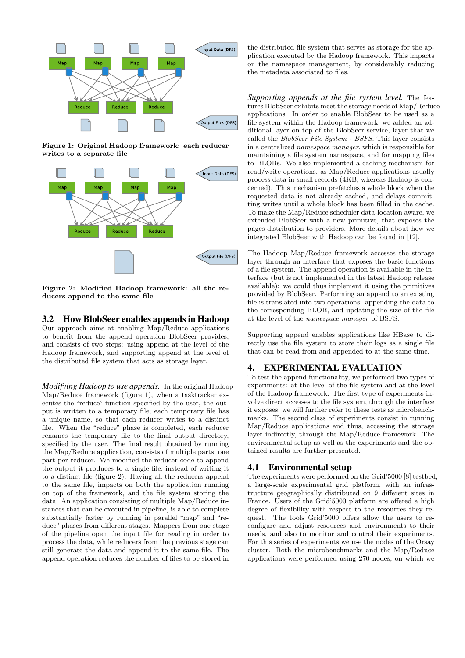

Figure 1: Original Hadoop framework: each reducer writes to a separate file



Figure 2: Modified Hadoop framework: all the reducers append to the same file

#### 3.2 How BlobSeer enables appends in Hadoop

Our approach aims at enabling Map/Reduce applications to benefit from the append operation BlobSeer provides, and consists of two steps: using append at the level of the Hadoop framework, and supporting append at the level of the distributed file system that acts as storage layer.

*Modifying Hadoop to use appends.* In the original Hadoop Map/Reduce framework (figure 1), when a tasktracker executes the "reduce" function specified by the user, the output is written to a temporary file; each temporary file has a unique name, so that each reducer writes to a distinct file. When the "reduce" phase is completed, each reducer renames the temporary file to the final output directory, specified by the user. The final result obtained by running the Map/Reduce application, consists of multiple parts, one part per reducer. We modified the reducer code to append the output it produces to a single file, instead of writing it to a distinct file (figure 2). Having all the reducers append to the same file, impacts on both the application running on top of the framework, and the file system storing the data. An application consisting of multiple Map/Reduce instances that can be executed in pipeline, is able to complete substantially faster by running in parallel "map" and "reduce" phases from different stages. Mappers from one stage of the pipeline open the input file for reading in order to process the data, while reducers from the previous stage can still generate the data and append it to the same file. The append operation reduces the number of files to be stored in

the distributed file system that serves as storage for the application executed by the Hadoop framework. This impacts on the namespace management, by considerably reducing the metadata associated to files.

*Supporting appends at the file system level.* The features BlobSeer exhibits meet the storage needs of Map/Reduce applications. In order to enable BlobSeer to be used as a file system within the Hadoop framework, we added an additional layer on top of the BlobSeer service, layer that we called the BlobSeer File System - BSFS. This layer consists in a centralized namespace manager, which is responsible for maintaining a file system namespace, and for mapping files to BLOBs. We also implemented a caching mechanism for read/write operations, as Map/Reduce applications usually process data in small records (4KB, whereas Hadoop is concerned). This mechanism prefetches a whole block when the requested data is not already cached, and delays committing writes until a whole block has been filled in the cache. To make the Map/Reduce scheduler data-location aware, we extended BlobSeer with a new primitive, that exposes the pages distribution to providers. More details about how we integrated BlobSeer with Hadoop can be found in [12].

The Hadoop Map/Reduce framework accesses the storage layer through an interface that exposes the basic functions of a file system. The append operation is available in the interface (but is not implemented in the latest Hadoop release available): we could thus implement it using the primitives provided by BlobSeer. Performing an append to an existing file is translated into two operations: appending the data to the corresponding BLOB, and updating the size of the file at the level of the namespace manager of BSFS.

Supporting append enables applications like HBase to directly use the file system to store their logs as a single file that can be read from and appended to at the same time.

## 4. EXPERIMENTAL EVALUATION

To test the append functionality, we performed two types of experiments: at the level of the file system and at the level of the Hadoop framework. The first type of experiments involve direct accesses to the file system, through the interface it exposes; we will further refer to these tests as microbenchmarks. The second class of experiments consist in running Map/Reduce applications and thus, accessing the storage layer indirectly, through the Map/Reduce framework. The environmental setup as well as the experiments and the obtained results are further presented.

#### 4.1 Environmental setup

The experiments were performed on the Grid'5000 [8] testbed. a large-scale experimental grid platform, with an infrastructure geographically distributed on 9 different sites in France. Users of the Grid'5000 platform are offered a high degree of flexibility with respect to the resources they request. The tools Grid'5000 offers allow the users to reconfigure and adjust resources and environments to their needs, and also to monitor and control their experiments. For this series of experiments we use the nodes of the Orsay cluster. Both the microbenchmarks and the Map/Reduce applications were performed using 270 nodes, on which we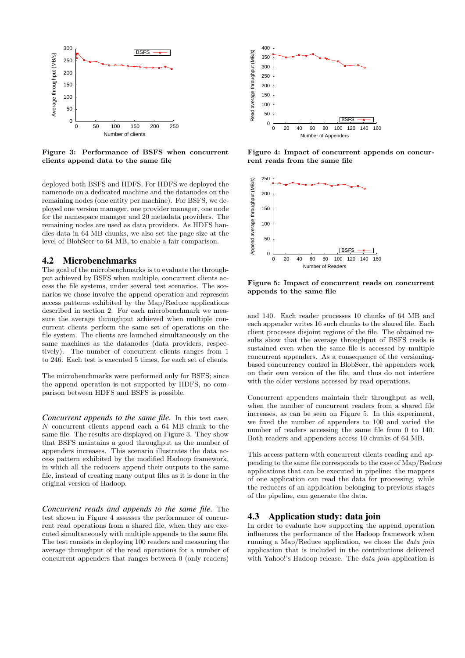

Figure 3: Performance of BSFS when concurrent clients append data to the same file

deployed both BSFS and HDFS. For HDFS we deployed the namenode on a dedicated machine and the datanodes on the remaining nodes (one entity per machine). For BSFS, we deployed one version manager, one provider manager, one node for the namespace manager and 20 metadata providers. The remaining nodes are used as data providers. As HDFS handles data in 64 MB chunks, we also set the page size at the level of BlobSeer to 64 MB, to enable a fair comparison.

## 4.2 Microbenchmarks

The goal of the microbenchmarks is to evaluate the throughput achieved by BSFS when multiple, concurrent clients access the file systems, under several test scenarios. The scenarios we chose involve the append operation and represent access patterns exhibited by the Map/Reduce applications described in section 2. For each microbenchmark we measure the average throughput achieved when multiple concurrent clients perform the same set of operations on the file system. The clients are launched simultaneously on the same machines as the datanodes (data providers, respectively). The number of concurrent clients ranges from 1 to 246. Each test is executed 5 times, for each set of clients.

The microbenchmarks were performed only for BSFS; since the append operation is not supported by HDFS, no comparison between HDFS and BSFS is possible.

*Concurrent appends to the same file.* In this test case, N concurrent clients append each a 64 MB chunk to the same file. The results are displayed on Figure 3. They show that BSFS maintains a good throughput as the number of appenders increases. This scenario illustrates the data access pattern exhibited by the modified Hadoop framework, in which all the reducers append their outputs to the same file, instead of creating many output files as it is done in the original version of Hadoop.

*Concurrent reads and appends to the same file.* The test shown in Figure 4 assesses the performance of concurrent read operations from a shared file, when they are executed simultaneously with multiple appends to the same file. The test consists in deploying 100 readers and measuring the average throughput of the read operations for a number of concurrent appenders that ranges between 0 (only readers)



Figure 4: Impact of concurrent appends on concurrent reads from the same file



Figure 5: Impact of concurrent reads on concurrent appends to the same file

and 140. Each reader processes 10 chunks of 64 MB and each appender writes 16 such chunks to the shared file. Each client processes disjoint regions of the file. The obtained results show that the average throughput of BSFS reads is sustained even when the same file is accessed by multiple concurrent appenders. As a consequence of the versioningbased concurrency control in BlobSeer, the appenders work on their own version of the file, and thus do not interfere with the older versions accessed by read operations.

Concurrent appenders maintain their throughput as well. when the number of concurrent readers from a shared file increases, as can be seen on Figure 5. In this experiment, we fixed the number of appenders to 100 and varied the number of readers accessing the same file from 0 to 140. Both readers and appenders access 10 chunks of 64 MB.

This access pattern with concurrent clients reading and appending to the same file corresponds to the case of Map/Reduce applications that can be executed in pipeline: the mappers of one application can read the data for processing, while the reducers of an application belonging to previous stages of the pipeline, can generate the data.

#### 4.3 Application study: data join

In order to evaluate how supporting the append operation influences the performance of the Hadoop framework when running a Map/Reduce application, we chose the data join application that is included in the contributions delivered with Yahoo!'s Hadoop release. The *data join* application is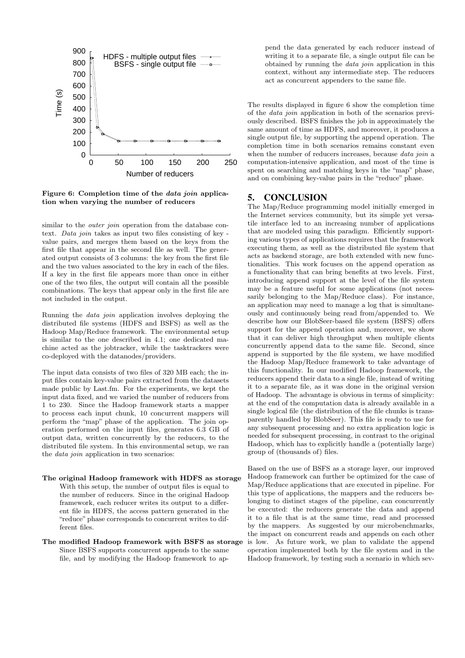

Figure 6: Completion time of the *data join* application when varying the number of reducers

similar to the *outer join* operation from the database context. Data join takes as input two files consisting of key value pairs, and merges them based on the keys from the first file that appear in the second file as well. The generated output consists of 3 columns: the key from the first file and the two values associated to the key in each of the files. If a key in the first file appears more than once in either one of the two files, the output will contain all the possible combinations. The keys that appear only in the first file are not included in the output.

Running the data join application involves deploying the distributed file systems (HDFS and BSFS) as well as the Hadoop Map/Reduce framework. The environmental setup is similar to the one described in 4.1; one dedicated machine acted as the jobtracker, while the tasktrackers were co-deployed with the datanodes/providers.

The input data consists of two files of 320 MB each; the input files contain key-value pairs extracted from the datasets made public by Last.fm. For the experiments, we kept the input data fixed, and we varied the number of reducers from 1 to 230. Since the Hadoop framework starts a mapper to process each input chunk, 10 concurrent mappers will perform the "map" phase of the application. The join operation performed on the input files, generates 6.3 GB of output data, written concurrently by the reducers, to the distributed file system. In this environmental setup, we ran the data join application in two scenarios:

The original Hadoop framework with HDFS as storage With this setup, the number of output files is equal to the number of reducers. Since in the original Hadoop framework, each reducer writes its output to a different file in HDFS, the access pattern generated in the "reduce" phase corresponds to concurrent writes to different files.

The modified Hadoop framework with BSFS as storage Since BSFS supports concurrent appends to the same file, and by modifying the Hadoop framework to append the data generated by each reducer instead of writing it to a separate file, a single output file can be obtained by running the data join application in this context, without any intermediate step. The reducers act as concurrent appenders to the same file.

The results displayed in figure 6 show the completion time of the data join application in both of the scenarios previously described. BSFS finishes the job in approximately the same amount of time as HDFS, and moreover, it produces a single output file, by supporting the append operation. The completion time in both scenarios remains constant even when the number of reducers increases, because *data join* a computation-intensive application, and most of the time is spent on searching and matching keys in the "map" phase, and on combining key-value pairs in the "reduce" phase.

## 5. CONCLUSION

The Map/Reduce programming model initially emerged in the Internet services community, but its simple yet versatile interface led to an increasing number of applications that are modeled using this paradigm. Efficiently supporting various types of applications requires that the framework executing them, as well as the distributed file system that acts as backend storage, are both extended with new functionalities. This work focuses on the append operation as a functionality that can bring benefits at two levels. First, introducing append support at the level of the file system may be a feature useful for some applications (not necessarily belonging to the Map/Reduce class). For instance, an application may need to manage a log that is simultaneously and continuously being read from/appended to. We describe how our BlobSeer-based file system (BSFS) offers support for the append operation and, moreover, we show that it can deliver high throughput when multiple clients concurrently append data to the same file. Second, since append is supported by the file system, we have modified the Hadoop Map/Reduce framework to take advantage of this functionality. In our modified Hadoop framework, the reducers append their data to a single file, instead of writing it to a separate file, as it was done in the original version of Hadoop. The advantage is obvious in terms of simplicity: at the end of the computation data is already available in a single logical file (the distribution of the file chunks is transparently handled by BlobSeer). This file is ready to use for any subsequent processing and no extra application logic is needed for subsequent processing, in contrast to the original Hadoop, which has to explicitly handle a (potentially large) group of (thousands of) files.

Based on the use of BSFS as a storage layer, our improved Hadoop framework can further be optimized for the case of Map/Reduce applications that are executed in pipeline. For this type of applications, the mappers and the reducers belonging to distinct stages of the pipeline, can concurrently be executed: the reducers generate the data and append it to a file that is at the same time, read and processed by the mappers. As suggested by our microbenchmarks, the impact on concurrent reads and appends on each other is low. As future work, we plan to validate the append operation implemented both by the file system and in the Hadoop framework, by testing such a scenario in which sev